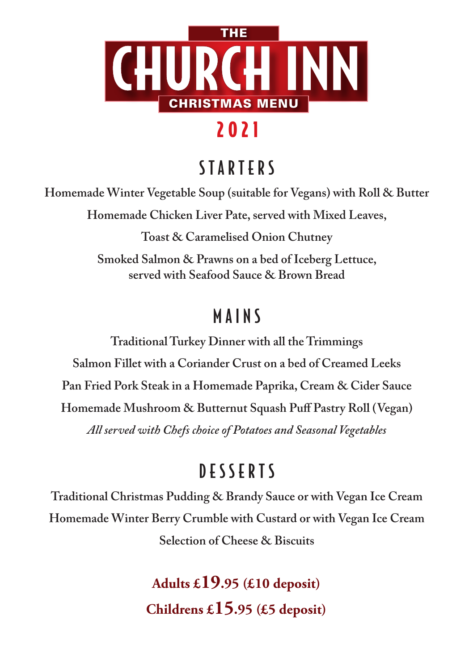

# 2021

## S T A R T E R S

**Homemade Winter Vegetable Soup (suitable for Vegans) with Roll & Butter**

**Homemade Chicken Liver Pate, served with Mixed Leaves,**

**Toast & Caramelised Onion Chutney**

**Smoked Salmon & Prawns on a bed of Iceberg Lettuce, served with Seafood Sauce & Brown Bread**

#### **MAINS** MAINS

**Traditional Turkey Dinner with all the Trimmings Salmon Fillet with a Coriander Crust on a bed of Creamed Leeks Pan Fried Pork Steak in a Homemade Paprika, Cream & Cider Sauce Homemade Mushroom & Butternut Squash Puff Pastry Roll (Vegan)** *All served with Chefs choice of Potatoes and Seasonal Vegetables*

### DESSERTS

**Traditional Christmas Pudding & Brandy Sauce or with Vegan Ice Cream Homemade Winter Berry Crumble with Custard or with Vegan Ice Cream Selection of Cheese & Biscuits**

> **Adults £19.95 (£10 deposit) Childrens £15.95 (£5 deposit)**